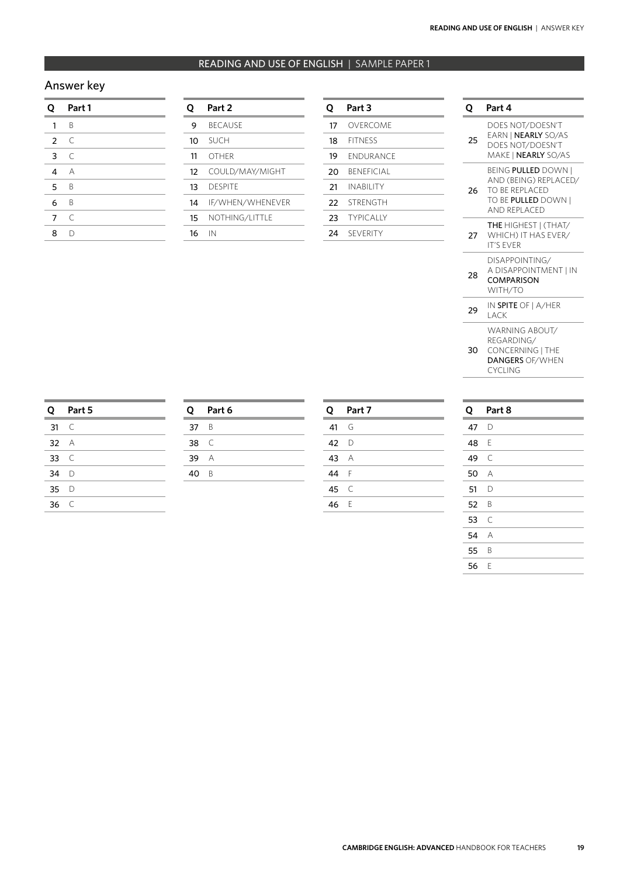### READING AND USE OF ENGLISH | SAMPLE PAPER 1

### Answer key

| Q | Part 1 |
|---|--------|
| 1 | B      |
| 2 | C      |
| 3 | C      |
| 4 | Α      |
| 5 | B      |
| 6 | B      |
| 7 | C      |
| 8 | I)     |

| O  | Part 2           |
|----|------------------|
| 9  | BECAUSE          |
| 10 | <b>SUCH</b>      |
| 11 | OTHER            |
| 12 | COULD/MAY/MIGHT  |
| 13 | DESPITE          |
| 14 | if/WHEN/WHENEVER |
| 15 | NOTHING/LITTLE   |
| 16 | IN               |
|    |                  |

| O  | Part 3           |
|----|------------------|
| 17 | OVERCOME         |
| 18 | <b>FITNESS</b>   |
| 19 | <b>FNDURANCE</b> |
| 20 | BENFFICIAL       |
| 21 | INARII ITY       |
| 22 | STRENGTH         |
| 23 | <b>TYPICALLY</b> |
| 24 | <b>SEVERITY</b>  |
|    |                  |

| D  | Part 4                                                                                                       |
|----|--------------------------------------------------------------------------------------------------------------|
| 25 | DOES NOT/DOESN'T<br>EARN   NEARLY SO/AS<br>DOES NOT/DOESN'T<br>MAKE   NEARLY SO/AS                           |
| 26 | <b>BEING PULLED DOWN  </b><br>AND (BEING) REPLACED/<br>TO BE REPLACED<br>TO BE PULLED DOWN  <br>AND REPLACED |
| 27 | <b>THE HIGHEST   (THAT/</b><br>WHICH) IT HAS EVER/<br><b>IT'S FVFR</b>                                       |
| 28 | DISAPPOINTING/<br>A DISAPPOINTMENT I IN<br><b>COMPARISON</b><br>WITH/TO                                      |
| 29 | IN SPITE OF   A/HER<br>I ACK                                                                                 |
| 30 | WARNING ABOUT/<br>REGARDING/<br><b>CONCERNING   THE</b><br><b>DANGERS OF/WHEN</b><br>CYCLING                 |

| Q    | Part 5       |
|------|--------------|
| 31   | - C          |
| 32 A |              |
| 33 C |              |
| 34   | $\mathsf{D}$ |
| 35   | Ð            |
| 36   | C            |

| O.   | Part 6 |
|------|--------|
| 37 B |        |
| 38 C |        |
| 39 A |        |
| 40   | - B    |

|      | Q Part 7 |
|------|----------|
| 41 G |          |
| 42 D |          |
| 43 A |          |
| 44 F |          |
| 45 C |          |
| 46 E |          |
|      |          |

| Q  | Part 8        |
|----|---------------|
| 47 | D             |
| 48 | Е             |
| 49 | $\mathcal{C}$ |
| 50 | A             |
| 51 | D             |
| 52 | B             |
| 53 | $\mathcal{C}$ |
| 54 | A             |
| 55 | B             |
| 56 | E             |
|    |               |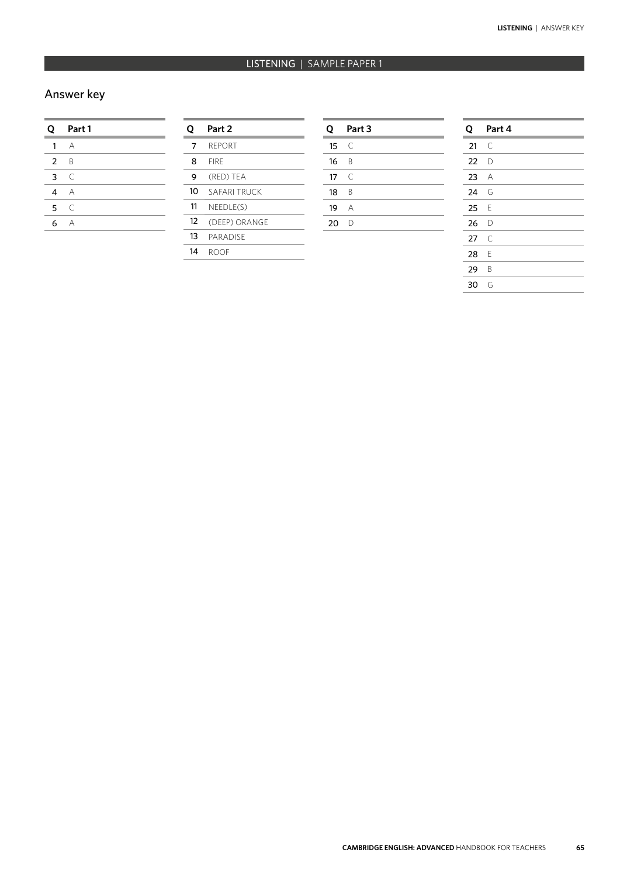### LISTENING | SAMPLE PAPER 1

### Answer key

| O              | Part 1 |
|----------------|--------|
|                | А      |
| $\overline{2}$ | B      |
| 3              | C      |
| Δ              | A      |
| 5              | C      |
| 6              | А      |
|                |        |

| O  | Part 2        |
|----|---------------|
| 7  | RFPORT        |
| 8  | <b>FIRF</b>   |
| 9  | (RED) TEA     |
| 10 | SAFARI TRUCK  |
| 11 | NEEDLE(S)     |
| 12 | (DEEP) ORANGE |
| 13 | PARADISF      |
| 14 | ROOF          |
|    |               |

| Q  | Part 3         |
|----|----------------|
| 15 | $\subset$      |
| 16 | B              |
| 17 | C              |
| 18 | B              |
| 19 | $\overline{A}$ |
| 20 | D              |
|    |                |

| Q  | Part 4         |
|----|----------------|
| 21 | $\mathsf{C}$   |
| 22 | D              |
| 23 | $\overline{A}$ |
| 24 | G              |
| 25 | Ε              |
| 26 | D              |
| 27 | $\mathsf{C}$   |
| 28 | Ε              |
| 29 | B              |
| 30 | G              |
|    |                |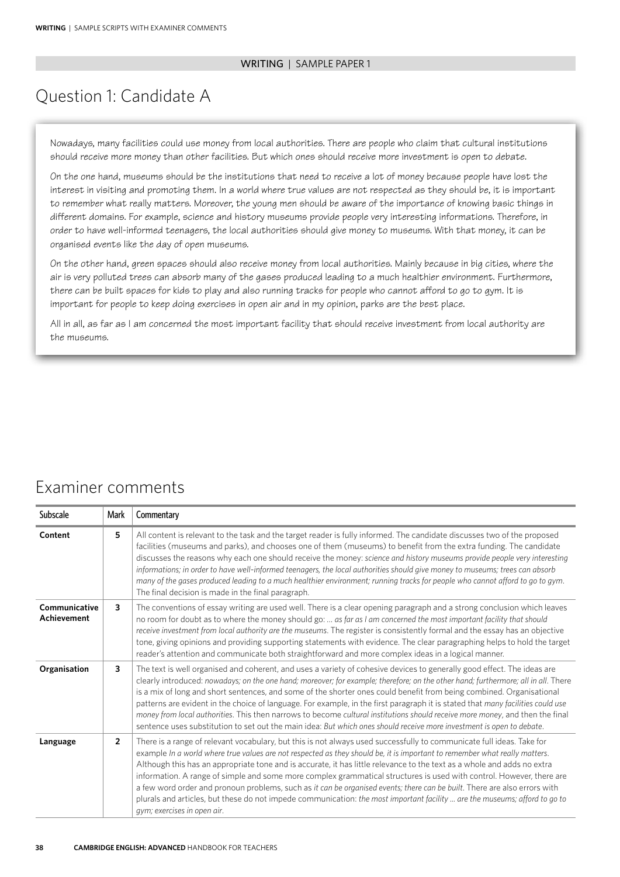# Question 1: Candidate A

Nowadays, many facilities could use money from local authorities. There are people who claim that cultural institutions should receive more money than other facilities. But which ones should receive more investment is open to debate.

On the one hand, museums should be the institutions that need to receive a lot of money because people have lost the interest in visiting and promoting them. In a world where true values are not respected as they should be, it is important to remember what really matters. Moreover, the young men should be aware of the importance of knowing basic things in different domains. For example, science and history museums provide people very interesting informations. Therefore, in order to have well-informed teenagers, the local authorities should give money to museums. With that money, it can be organised events like the day of open museums.

On the other hand, green spaces should also receive money from local authorities. Mainly because in big cities, where the air is very polluted trees can absorb many of the gases produced leading to a much healthier environment. Furthermore, there can be built spaces for kids to play and also running tracks for people who cannot afford to go to gym. It is important for people to keep doing exercises in open air and in my opinion, parks are the best place.

All in all, as far as I am concerned the most important facility that should receive investment from local authority are the museums.

| Subscale                     | Mark           | Commentary                                                                                                                                                                                                                                                                                                                                                                                                                                                                                                                                                                                                                                                                                                                                                                                       |
|------------------------------|----------------|--------------------------------------------------------------------------------------------------------------------------------------------------------------------------------------------------------------------------------------------------------------------------------------------------------------------------------------------------------------------------------------------------------------------------------------------------------------------------------------------------------------------------------------------------------------------------------------------------------------------------------------------------------------------------------------------------------------------------------------------------------------------------------------------------|
| Content                      | 5              | All content is relevant to the task and the target reader is fully informed. The candidate discusses two of the proposed<br>facilities (museums and parks), and chooses one of them (museums) to benefit from the extra funding. The candidate<br>discusses the reasons why each one should receive the money: science and history museums provide people very interesting<br>informations; in order to have well-informed teenagers, the local authorities should give money to museums; trees can absorb<br>many of the gases produced leading to a much healthier environment; running tracks for people who cannot afford to go to gym.<br>The final decision is made in the final paragraph.                                                                                                |
| Communicative<br>Achievement | 3              | The conventions of essay writing are used well. There is a clear opening paragraph and a strong conclusion which leaves<br>no room for doubt as to where the money should go:  as far as I am concerned the most important facility that should<br>receive investment from local authority are the museums. The register is consistently formal and the essay has an objective<br>tone, giving opinions and providing supporting statements with evidence. The clear paragraphing helps to hold the target<br>reader's attention and communicate both straightforward and more complex ideas in a logical manner.                                                                                                                                                                                |
| Organisation                 | 3              | The text is well organised and coherent, and uses a variety of cohesive devices to generally good effect. The ideas are<br>clearly introduced: nowadays; on the one hand; moreover; for example; therefore; on the other hand; furthermore; all in all. There<br>is a mix of long and short sentences, and some of the shorter ones could benefit from being combined. Organisational<br>patterns are evident in the choice of language. For example, in the first paragraph it is stated that many facilities could use<br>money from local authorities. This then narrows to become cultural institutions should receive more money, and then the final<br>sentence uses substitution to set out the main idea: But which ones should receive more investment is open to debate.               |
| Language                     | $\overline{2}$ | There is a range of relevant vocabulary, but this is not always used successfully to communicate full ideas. Take for<br>example In a world where true values are not respected as they should be, it is important to remember what really matters.<br>Although this has an appropriate tone and is accurate, it has little relevance to the text as a whole and adds no extra<br>information. A range of simple and some more complex grammatical structures is used with control. However, there are<br>a few word order and pronoun problems, such as it can be organised events; there can be built. There are also errors with<br>plurals and articles, but these do not impede communication: the most important facility  are the museums; afford to go to<br>gym; exercises in open air. |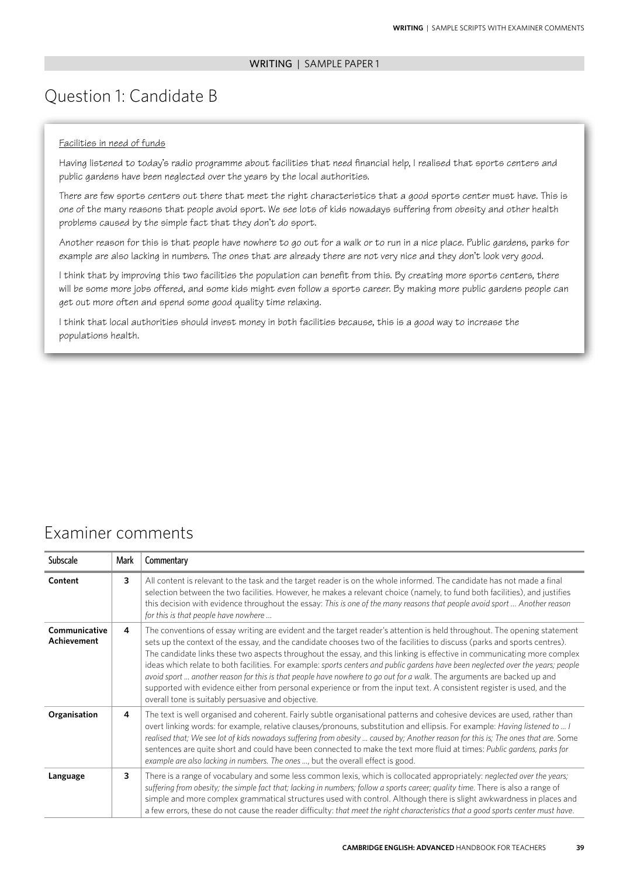# Question 1: Candidate B

#### Facilities in need of funds

Having listened to today's radio programme about facilities that need financial help, I realised that sports centers and public gardens have been neglected over the years by the local authorities.

There are few sports centers out there that meet the right characteristics that a good sports center must have. This is one of the many reasons that people avoid sport. We see lots of kids nowadays suffering from obesity and other health problems caused by the simple fact that they don't do sport.

Another reason for this is that people have nowhere to go out for a walk or to run in a nice place. Public gardens, parks for example are also lacking in numbers. The ones that are already there are not very nice and they don't look very good.

I think that by improving this two facilities the population can benefit from this. By creating more sports centers, there will be some more jobs offered, and some kids might even follow a sports career. By making more public gardens people can get out more often and spend some good quality time relaxing.

I think that local authorities should invest money in both facilities because, this is a good way to increase the populations health.

| Subscale                     | Mark | Commentary                                                                                                                                                                                                                                                                                                                                                                                                                                                                                                                                                                                                                                                                                                                                                                                                                    |
|------------------------------|------|-------------------------------------------------------------------------------------------------------------------------------------------------------------------------------------------------------------------------------------------------------------------------------------------------------------------------------------------------------------------------------------------------------------------------------------------------------------------------------------------------------------------------------------------------------------------------------------------------------------------------------------------------------------------------------------------------------------------------------------------------------------------------------------------------------------------------------|
| Content                      | 3    | All content is relevant to the task and the target reader is on the whole informed. The candidate has not made a final<br>selection between the two facilities. However, he makes a relevant choice (namely, to fund both facilities), and justifies<br>this decision with evidence throughout the essay: This is one of the many reasons that people avoid sport  Another reason<br>for this is that people have nowhere                                                                                                                                                                                                                                                                                                                                                                                                     |
| Communicative<br>Achievement | 4    | The conventions of essay writing are evident and the target reader's attention is held throughout. The opening statement<br>sets up the context of the essay, and the candidate chooses two of the facilities to discuss (parks and sports centres).<br>The candidate links these two aspects throughout the essay, and this linking is effective in communicating more complex<br>ideas which relate to both facilities. For example: sports centers and public gardens have been neglected over the years; people<br>avoid sport  another reason for this is that people have nowhere to go out for a walk. The arguments are backed up and<br>supported with evidence either from personal experience or from the input text. A consistent register is used, and the<br>overall tone is suitably persuasive and objective. |
| Organisation                 | 4    | The text is well organised and coherent. Fairly subtle organisational patterns and cohesive devices are used, rather than<br>overt linking words: for example, relative clauses/pronouns, substitution and ellipsis. For example: Having listened to  I<br>realised that; We see lot of kids nowadays suffering from obesity  caused by; Another reason for this is; The ones that are. Some<br>sentences are quite short and could have been connected to make the text more fluid at times: Public gardens, parks for<br>example are also lacking in numbers. The ones , but the overall effect is good.                                                                                                                                                                                                                    |
| Language                     | 3    | There is a range of vocabulary and some less common lexis, which is collocated appropriately: neglected over the years;<br>suffering from obesity; the simple fact that; lacking in numbers; follow a sports career; quality time. There is also a range of<br>simple and more complex grammatical structures used with control. Although there is slight awkwardness in places and<br>a few errors, these do not cause the reader difficulty: that meet the right characteristics that a good sports center must have.                                                                                                                                                                                                                                                                                                       |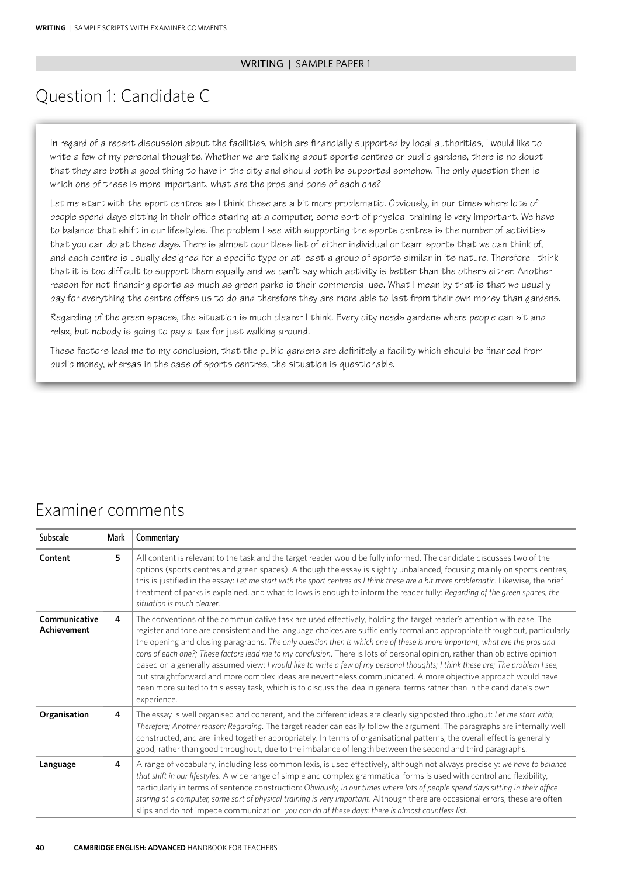# Question 1: Candidate C

In regard of a recent discussion about the facilities, which are financially supported by local authorities, I would like to write a few of my personal thoughts. Whether we are talking about sports centres or public gardens, there is no doubt that they are both a good thing to have in the city and should both be supported somehow. The only question then is which one of these is more important, what are the pros and cons of each one?

Let me start with the sport centres as I think these are a bit more problematic. Obviously, in our times where lots of people spend days sitting in their office staring at a computer, some sort of physical training is very important. We have to balance that shift in our lifestyles. The problem I see with supporting the sports centres is the number of activities that you can do at these days. There is almost countless list of either individual or team sports that we can think of, and each centre is usually designed for a specific type or at least a group of sports similar in its nature. Therefore I think that it is too difficult to support them equally and we can't say which activity is better than the others either. Another reason for not financing sports as much as green parks is their commercial use. What I mean by that is that we usually pay for everything the centre offers us to do and therefore they are more able to last from their own money than gardens.

Regarding of the green spaces, the situation is much clearer I think. Every city needs gardens where people can sit and relax, but nobody is going to pay a tax for just walking around.

These factors lead me to my conclusion, that the public gardens are definitely a facility which should be financed from public money, whereas in the case of sports centres, the situation is questionable.

| Subscale                            | Mark | Commentary                                                                                                                                                                                                                                                                                                                                                                                                                                                                                                                                                                                                                                                                                                                                                                                                                                                                                                |
|-------------------------------------|------|-----------------------------------------------------------------------------------------------------------------------------------------------------------------------------------------------------------------------------------------------------------------------------------------------------------------------------------------------------------------------------------------------------------------------------------------------------------------------------------------------------------------------------------------------------------------------------------------------------------------------------------------------------------------------------------------------------------------------------------------------------------------------------------------------------------------------------------------------------------------------------------------------------------|
| Content                             | 5    | All content is relevant to the task and the target reader would be fully informed. The candidate discusses two of the<br>options (sports centres and green spaces). Although the essay is slightly unbalanced, focusing mainly on sports centres,<br>this is justified in the essay: Let me start with the sport centres as I think these are a bit more problematic. Likewise, the brief<br>treatment of parks is explained, and what follows is enough to inform the reader fully: Regarding of the green spaces, the<br>situation is much clearer.                                                                                                                                                                                                                                                                                                                                                     |
| Communicative<br><b>Achievement</b> | 4    | The conventions of the communicative task are used effectively, holding the target reader's attention with ease. The<br>register and tone are consistent and the language choices are sufficiently formal and appropriate throughout, particularly<br>the opening and closing paragraphs, The only question then is which one of these is more important, what are the pros and<br>cons of each one?; These factors lead me to my conclusion. There is lots of personal opinion, rather than objective opinion<br>based on a generally assumed view: I would like to write a few of my personal thoughts; I think these are; The problem I see,<br>but straightforward and more complex ideas are nevertheless communicated. A more objective approach would have<br>been more suited to this essay task, which is to discuss the idea in general terms rather than in the candidate's own<br>experience. |
| Organisation                        | 4    | The essay is well organised and coherent, and the different ideas are clearly signposted throughout: Let me start with;<br>Therefore; Another reason; Regarding. The target reader can easily follow the argument. The paragraphs are internally well<br>constructed, and are linked together appropriately. In terms of organisational patterns, the overall effect is generally<br>good, rather than good throughout, due to the imbalance of length between the second and third paragraphs.                                                                                                                                                                                                                                                                                                                                                                                                           |
| Language                            | 4    | A range of vocabulary, including less common lexis, is used effectively, although not always precisely: we have to balance<br>that shift in our lifestyles. A wide range of simple and complex grammatical forms is used with control and flexibility,<br>particularly in terms of sentence construction: Obviously, in our times where lots of people spend days sitting in their office<br>staring at a computer, some sort of physical training is very important. Although there are occasional errors, these are often<br>slips and do not impede communication: you can do at these days; there is almost countless list.                                                                                                                                                                                                                                                                           |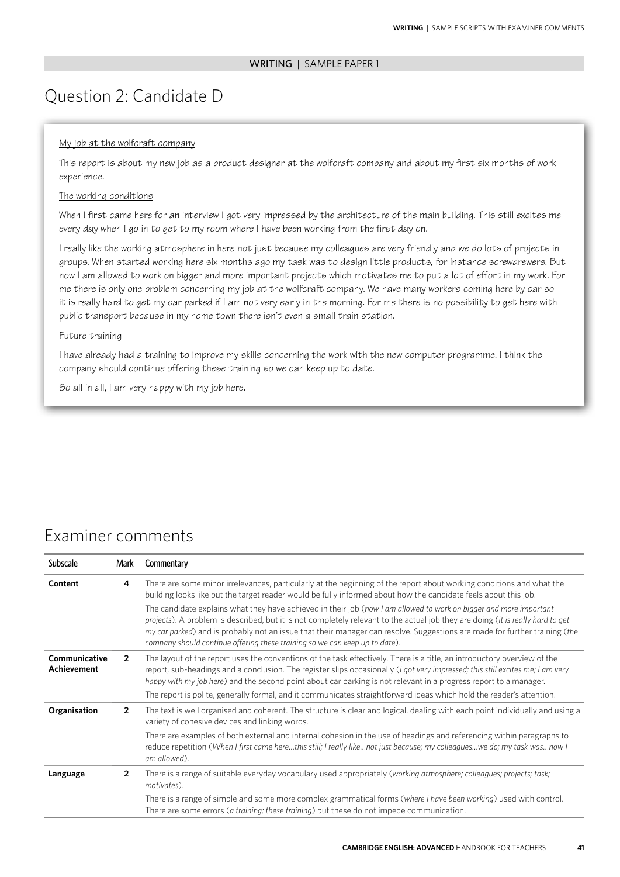# Question 2: Candidate D

#### My job at the wolfcraft company

This report is about my new job as a product designer at the wolfcraft company and about my first six months of work experience.

#### The working conditions

When I first came here for an interview I got very impressed by the architecture of the main building. This still excites me every day when I go in to get to my room where I have been working from the first day on.

I really like the working atmosphere in here not just because my colleagues are very friendly and we do lots of projects in groups. When started working here six months ago my task was to design little products, for instance screwdrewers. But now I am allowed to work on bigger and more important projects which motivates me to put a lot of effort in my work. For me there is only one problem concerning my job at the wolfcraft company. We have many workers coming here by car so it is really hard to get my car parked if I am not very early in the morning. For me there is no possibility to get here with public transport because in my home town there isn't even a small train station.

#### Future training

I have already had a training to improve my skills concerning the work with the new computer programme. I think the company should continue offering these training so we can keep up to date.

So all in all, I am very happy with my job here.

| Subscale      | Mark | Commentary                                                                                                                                                                                                                                                                                                                                                                                  |
|---------------|------|---------------------------------------------------------------------------------------------------------------------------------------------------------------------------------------------------------------------------------------------------------------------------------------------------------------------------------------------------------------------------------------------|
| Content       | 4    | There are some minor irrelevances, particularly at the begi<br>building looks like but the target reader would be fully info<br>The candidate explains what they have achieved in their jo<br>projects). A problem is described, but it is not completely r<br>my car parked) and is probably not an issue that their mana<br>company should continue offering these training so we can kee |
| Communicative |      | The layout of the report uses the conventions of the task e                                                                                                                                                                                                                                                                                                                                 |

| Content                      | 4              | There are some minor irrelevances, particularly at the beginning of the report about working conditions and what the<br>building looks like but the target reader would be fully informed about how the candidate feels about this job.<br>The candidate explains what they have achieved in their job (now I am allowed to work on bigger and more important<br>projects). A problem is described, but it is not completely relevant to the actual job they are doing (it is really hard to get<br>my car parked) and is probably not an issue that their manager can resolve. Suggestions are made for further training (the<br>company should continue offering these training so we can keep up to date). |
|------------------------------|----------------|---------------------------------------------------------------------------------------------------------------------------------------------------------------------------------------------------------------------------------------------------------------------------------------------------------------------------------------------------------------------------------------------------------------------------------------------------------------------------------------------------------------------------------------------------------------------------------------------------------------------------------------------------------------------------------------------------------------|
| Communicative<br>Achievement | $\overline{2}$ | The layout of the report uses the conventions of the task effectively. There is a title, an introductory overview of the<br>report, sub-headings and a conclusion. The register slips occasionally ( <i>l</i> got very impressed; this still excites me; I am very<br>happy with my job here) and the second point about car parking is not relevant in a progress report to a manager.<br>The report is polite, generally formal, and it communicates straightforward ideas which hold the reader's attention.                                                                                                                                                                                               |
| Organisation                 | $\overline{2}$ | The text is well organised and coherent. The structure is clear and logical, dealing with each point individually and using a<br>variety of cohesive devices and linking words.<br>There are examples of both external and internal cohesion in the use of headings and referencing within paragraphs to<br>reduce repetition (When I first came herethis still; I really likenot just because; my colleagueswe do; my task wasnow I<br>am allowed).                                                                                                                                                                                                                                                          |
| Language                     | $\overline{2}$ | There is a range of suitable everyday vocabulary used appropriately (working atmosphere; colleagues; projects; task;<br>motivates).<br>There is a range of simple and some more complex grammatical forms (where I have been working) used with control.<br>There are some errors (a training; these training) but these do not impede communication.                                                                                                                                                                                                                                                                                                                                                         |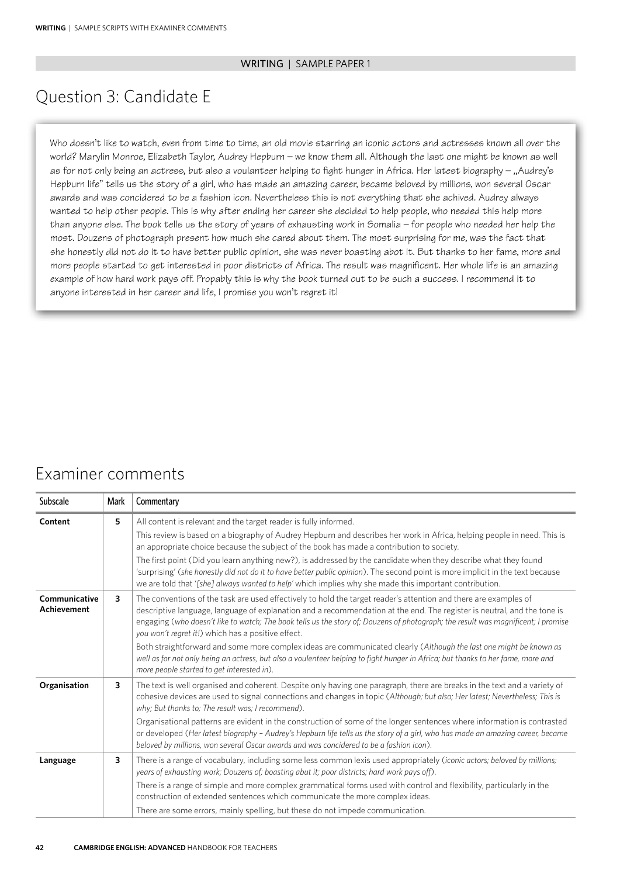# Question 3: Candidate E

Who doesn't like to watch, even from time to time, an old movie starring an iconic actors and actresses known all over the world? Marylin Monroe, Elizabeth Taylor, Audrey Hepburn – we know them all. Although the last one might be known as well as for not only being an actress, but also a voulanteer helping to fight hunger in Africa. Her latest biography – ,,Audrey's Hepburn life" tells us the story of a girl, who has made an amazing career, became beloved by millions, won several Oscar awards and was concidered to be a fashion icon. Nevertheless this is not everything that she achived. Audrey always wanted to help other people. This is why after ending her career she decided to help people, who needed this help more than anyone else. The book tells us the story of years of exhausting work in Somalia – for people who needed her help the most. Douzens of photograph present how much she cared about them. The most surprising for me, was the fact that she honestly did not do it to have better public opinion, she was never boasting abot it. But thanks to her fame, more and more people started to get interested in poor districts of Africa. The result was magnificent. Her whole life is an amazing example of how hard work pays off. Propably this is why the book turned out to be such a success. I recommend it to anyone interested in her career and life, I promise you won't regret it!

| Subscale                            | Mark | Commentary                                                                                                                                                                                                                                                                                                                                                                                                                             |
|-------------------------------------|------|----------------------------------------------------------------------------------------------------------------------------------------------------------------------------------------------------------------------------------------------------------------------------------------------------------------------------------------------------------------------------------------------------------------------------------------|
| Content                             | 5    | All content is relevant and the target reader is fully informed.                                                                                                                                                                                                                                                                                                                                                                       |
|                                     |      | This review is based on a biography of Audrey Hepburn and describes her work in Africa, helping people in need. This is<br>an appropriate choice because the subject of the book has made a contribution to society.                                                                                                                                                                                                                   |
|                                     |      | The first point (Did you learn anything new?), is addressed by the candidate when they describe what they found<br>'surprising' (she honestly did not do it to have better public opinion). The second point is more implicit in the text because<br>we are told that '[she] always wanted to help' which implies why she made this important contribution.                                                                            |
| Communicative<br><b>Achievement</b> | 3    | The conventions of the task are used effectively to hold the target reader's attention and there are examples of<br>descriptive language, language of explanation and a recommendation at the end. The register is neutral, and the tone is<br>engaging (who doesn't like to watch; The book tells us the story of; Douzens of photograph; the result was magnificent; I promise<br>you won't regret it!) which has a positive effect. |
|                                     |      | Both straightforward and some more complex ideas are communicated clearly (Although the last one might be known as<br>well as for not only being an actress, but also a voulenteer helping to fight hunger in Africa; but thanks to her fame, more and<br>more people started to get interested in).                                                                                                                                   |
| Organisation                        | 3    | The text is well organised and coherent. Despite only having one paragraph, there are breaks in the text and a variety of<br>cohesive devices are used to signal connections and changes in topic (Although; but also; Her latest; Nevertheless; This is<br>why; But thanks to; The result was; I recommend).                                                                                                                          |
|                                     |      | Organisational patterns are evident in the construction of some of the longer sentences where information is contrasted<br>or developed (Her latest biography - Audrey's Hepburn life tells us the story of a girl, who has made an amazing career, became<br>beloved by millions, won several Oscar awards and was concidered to be a fashion icon).                                                                                  |
| Language                            | 3    | There is a range of vocabulary, including some less common lexis used appropriately (iconic actors; beloved by millions;<br>years of exhausting work; Douzens of; boasting abut it; poor districts; hard work pays off).                                                                                                                                                                                                               |
|                                     |      | There is a range of simple and more complex grammatical forms used with control and flexibility, particularly in the<br>construction of extended sentences which communicate the more complex ideas.                                                                                                                                                                                                                                   |
|                                     |      | There are some errors, mainly spelling, but these do not impede communication.                                                                                                                                                                                                                                                                                                                                                         |